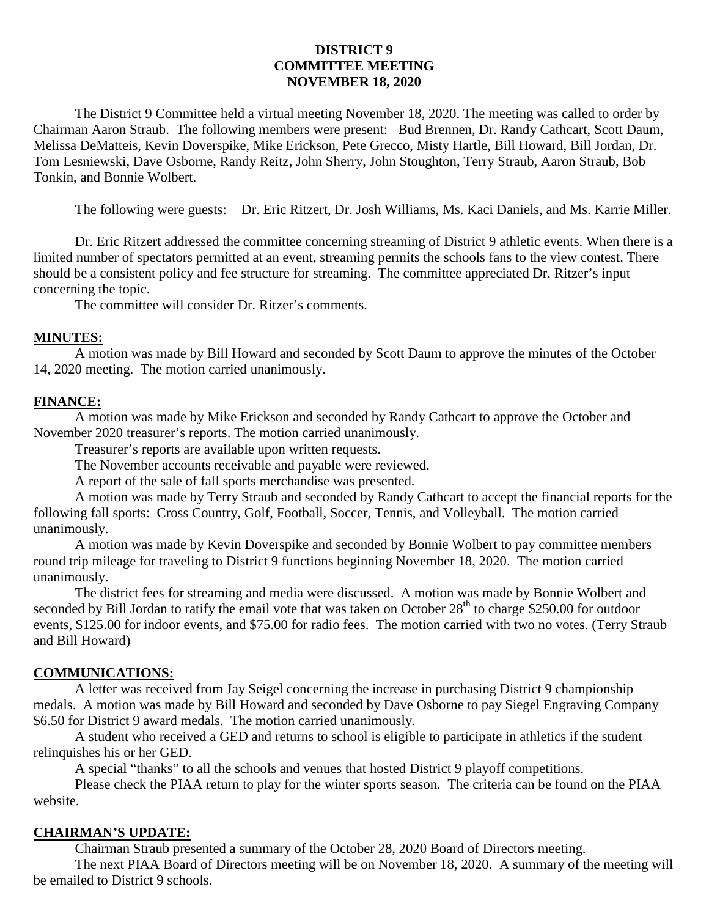# **DISTRICT 9 COMMITTEE MEETING NOVEMBER 18, 2020**

The District 9 Committee held a virtual meeting November 18, 2020. The meeting was called to order by Chairman Aaron Straub. The following members were present: Bud Brennen, Dr. Randy Cathcart, Scott Daum, Melissa DeMatteis, Kevin Doverspike, Mike Erickson, Pete Grecco, Misty Hartle, Bill Howard, Bill Jordan, Dr. Tom Lesniewski, Dave Osborne, Randy Reitz, John Sherry, John Stoughton, Terry Straub, Aaron Straub, Bob Tonkin, and Bonnie Wolbert.

The following were guests: Dr. Eric Ritzert, Dr. Josh Williams, Ms. Kaci Daniels, and Ms. Karrie Miller.

Dr. Eric Ritzert addressed the committee concerning streaming of District 9 athletic events. When there is a limited number of spectators permitted at an event, streaming permits the schools fans to the view contest. There should be a consistent policy and fee structure for streaming. The committee appreciated Dr. Ritzer's input concerning the topic.

The committee will consider Dr. Ritzer's comments.

### **MINUTES:**

A motion was made by Bill Howard and seconded by Scott Daum to approve the minutes of the October 14, 2020 meeting. The motion carried unanimously.

## **FINANCE:**

A motion was made by Mike Erickson and seconded by Randy Cathcart to approve the October and November 2020 treasurer's reports. The motion carried unanimously.

Treasurer's reports are available upon written requests.

The November accounts receivable and payable were reviewed.

A report of the sale of fall sports merchandise was presented.

A motion was made by Terry Straub and seconded by Randy Cathcart to accept the financial reports for the following fall sports: Cross Country, Golf, Football, Soccer, Tennis, and Volleyball. The motion carried unanimously.

A motion was made by Kevin Doverspike and seconded by Bonnie Wolbert to pay committee members round trip mileage for traveling to District 9 functions beginning November 18, 2020. The motion carried unanimously.

The district fees for streaming and media were discussed. A motion was made by Bonnie Wolbert and seconded by Bill Jordan to ratify the email vote that was taken on October 28<sup>th</sup> to charge \$250.00 for outdoor events, \$125.00 for indoor events, and \$75.00 for radio fees. The motion carried with two no votes. (Terry Straub and Bill Howard)

#### **COMMUNICATIONS:**

A letter was received from Jay Seigel concerning the increase in purchasing District 9 championship medals. A motion was made by Bill Howard and seconded by Dave Osborne to pay Siegel Engraving Company \$6.50 for District 9 award medals. The motion carried unanimously.

A student who received a GED and returns to school is eligible to participate in athletics if the student relinquishes his or her GED.

A special "thanks" to all the schools and venues that hosted District 9 playoff competitions.

Please check the PIAA return to play for the winter sports season. The criteria can be found on the PIAA website.

#### **CHAIRMAN'S UPDATE:**

Chairman Straub presented a summary of the October 28, 2020 Board of Directors meeting.

The next PIAA Board of Directors meeting will be on November 18, 2020. A summary of the meeting will be emailed to District 9 schools.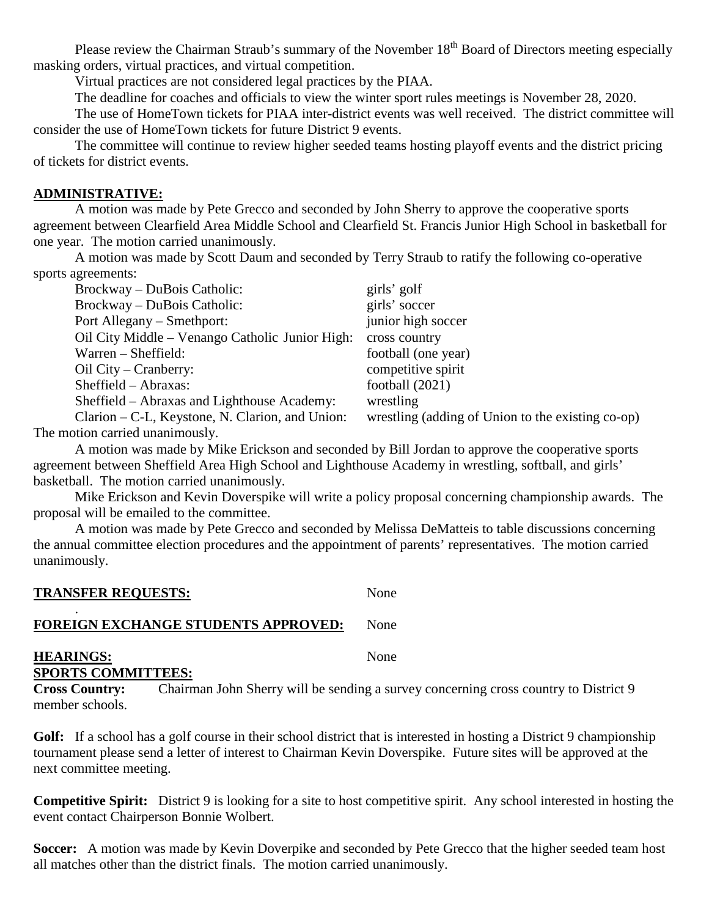Please review the Chairman Straub's summary of the November 18<sup>th</sup> Board of Directors meeting especially masking orders, virtual practices, and virtual competition.

Virtual practices are not considered legal practices by the PIAA.

The deadline for coaches and officials to view the winter sport rules meetings is November 28, 2020.

The use of HomeTown tickets for PIAA inter-district events was well received. The district committee will consider the use of HomeTown tickets for future District 9 events.

The committee will continue to review higher seeded teams hosting playoff events and the district pricing of tickets for district events.

# **ADMINISTRATIVE:**

A motion was made by Pete Grecco and seconded by John Sherry to approve the cooperative sports agreement between Clearfield Area Middle School and Clearfield St. Francis Junior High School in basketball for one year. The motion carried unanimously.

A motion was made by Scott Daum and seconded by Terry Straub to ratify the following co-operative sports agreements:

| Brockway – DuBois Catholic:                     | girls' golf                                       |
|-------------------------------------------------|---------------------------------------------------|
| Brockway – DuBois Catholic:                     | girls' soccer                                     |
| Port Allegany – Smethport:                      | junior high soccer                                |
| Oil City Middle – Venango Catholic Junior High: | cross country                                     |
| $Warren - Sheffield:$                           | football (one year)                               |
| $\text{Oil}$ City – Cranberry:                  | competitive spirit                                |
| $Sheffield - Abraxas:$                          | football $(2021)$                                 |
| Sheffield – Abraxas and Lighthouse Academy:     | wrestling                                         |
| Clarion – C-L, Keystone, N. Clarion, and Union: | wrestling (adding of Union to the existing co-op) |

The motion carried unanimously.

A motion was made by Mike Erickson and seconded by Bill Jordan to approve the cooperative sports agreement between Sheffield Area High School and Lighthouse Academy in wrestling, softball, and girls' basketball. The motion carried unanimously.

Mike Erickson and Kevin Doverspike will write a policy proposal concerning championship awards. The proposal will be emailed to the committee.

A motion was made by Pete Grecco and seconded by Melissa DeMatteis to table discussions concerning the annual committee election procedures and the appointment of parents' representatives. The motion carried unanimously.

# **TRANSFER REQUESTS:**

## . **FOREIGN EXCHANGE STUDENTS APPROVED:** None

**HEARINGS:** None **SPORTS COMMITTEES:**

**Cross Country:** Chairman John Sherry will be sending a survey concerning cross country to District 9 member schools.

**Golf:** If a school has a golf course in their school district that is interested in hosting a District 9 championship tournament please send a letter of interest to Chairman Kevin Doverspike. Future sites will be approved at the next committee meeting.

**Competitive Spirit:** District 9 is looking for a site to host competitive spirit. Any school interested in hosting the event contact Chairperson Bonnie Wolbert.

**Soccer:** A motion was made by Kevin Doverpike and seconded by Pete Grecco that the higher seeded team host all matches other than the district finals. The motion carried unanimously.

None